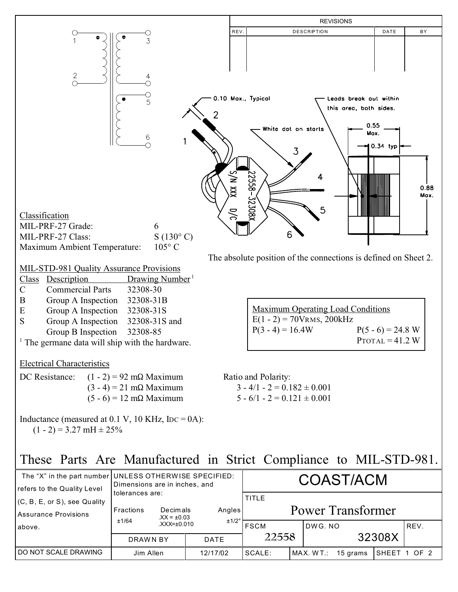

| The "X" in the part number UNLESS OTHERWISE SPECIFIED:<br>refers to the Quality Level | Dimensions are in inches, and                                        | <b>COAST/ACM</b> |                                          |  |          |  |              |
|---------------------------------------------------------------------------------------|----------------------------------------------------------------------|------------------|------------------------------------------|--|----------|--|--------------|
| (C, B, E, or S), see Quality<br>Assurance Provisions                                  | tolerances are:<br>Fractions<br>Decimals<br>$XX = \pm 0.03$<br>±1/64 | Angles<br>±1/2°  | <b>TITLE</b><br><b>Power Transformer</b> |  |          |  |              |
| above.                                                                                | $XXX = \pm 0.010$                                                    |                  | <b>FSCM</b><br>22558                     |  | IDWG.NO  |  | REV.         |
|                                                                                       | DRAWN BY<br><b>DATE</b>                                              |                  |                                          |  | 32308X   |  |              |
| DO NOT SCALE DRAWING                                                                  | Jim Allen                                                            | 12/17/02         | SCALE:<br>MAX. WT.:                      |  | 15 grams |  | SHEET 1 OF 2 |